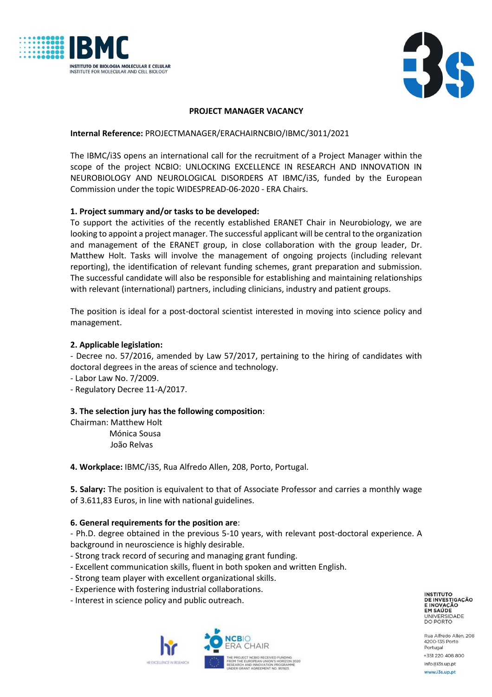



## **PROJECT MANAGER VACANCY**

## **Internal Reference:** PROJECTMANAGER/ERACHAIRNCBIO/IBMC/3011/2021

The IBMC/i3S opens an international call for the recruitment of a Project Manager within the scope of the project NCBIO: UNLOCKING EXCELLENCE IN RESEARCH AND INNOVATION IN NEUROBIOLOGY AND NEUROLOGICAL DISORDERS AT IBMC/i3S, funded by the European Commission under the topic WIDESPREAD-06-2020 - ERA Chairs.

# **1. Project summary and/or tasks to be developed:**

To support the activities of the recently established ERANET Chair in Neurobiology, we are looking to appoint a project manager. The successful applicant will be central to the organization and management of the ERANET group, in close collaboration with the group leader, Dr. Matthew Holt. Tasks will involve the management of ongoing projects (including relevant reporting), the identification of relevant funding schemes, grant preparation and submission. The successful candidate will also be responsible for establishing and maintaining relationships with relevant (international) partners, including clinicians, industry and patient groups.

The position is ideal for a post-doctoral scientist interested in moving into science policy and management.

## **2. Applicable legislation:**

- Decree no. 57/2016, amended by Law 57/2017, pertaining to the hiring of candidates with doctoral degrees in the areas of science and technology.

- Labor Law No. 7/2009.

- Regulatory Decree 11-A/2017.

### **3. The selection jury has the following composition**:

Chairman: Matthew Holt Mónica Sousa João Relvas

**4. Workplace:** IBMC/i3S, Rua Alfredo Allen, 208, Porto, Portugal.

**5. Salary:** The position is equivalent to that of Associate Professor and carries a monthly wage of 3.611,83 Euros, in line with national guidelines.

### **6. General requirements for the position are**:

- Ph.D. degree obtained in the previous 5-10 years, with relevant post-doctoral experience. A background in neuroscience is highly desirable.

- Strong track record of securing and managing grant funding.
- Excellent communication skills, fluent in both spoken and written English.
- Strong team player with excellent organizational skills.
- Experience with fostering industrial collaborations.
- Interest in science policy and public outreach.



**INSTITUTO** DE INVESTIGAÇÃO EM SAÚDE UNIVERSIDADE<br>DO PORTO

Rua Alfredo Allen, 208 4200-135 Porto Portugal +351 220 408 800 info@i3s.up.pt www.i3s.up.pt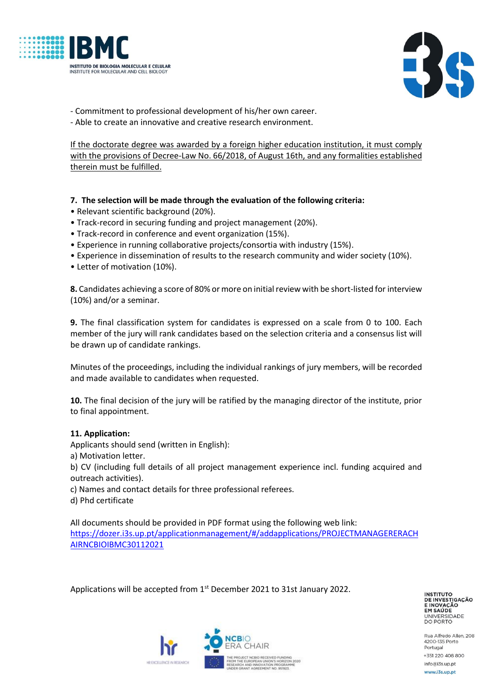



- Commitment to professional development of his/her own career.
- Able to create an innovative and creative research environment.

If the doctorate degree was awarded by a foreign higher education institution, it must comply with the provisions of Decree-Law No. 66/2018, of August 16th, and any formalities established therein must be fulfilled.

- **7. The selection will be made through the evaluation of the following criteria:**
- Relevant scientific background (20%).
- Track-record in securing funding and project management (20%).
- Track-record in conference and event organization (15%).
- Experience in running collaborative projects/consortia with industry (15%).
- Experience in dissemination of results to the research community and wider society (10%).
- Letter of motivation (10%).

**8.** Candidates achieving a score of 80% or more on initial review with be short-listed for interview (10%) and/or a seminar.

**9.** The final classification system for candidates is expressed on a scale from 0 to 100. Each member of the jury will rank candidates based on the selection criteria and a consensus list will be drawn up of candidate rankings.

Minutes of the proceedings, including the individual rankings of jury members, will be recorded and made available to candidates when requested.

**10.** The final decision of the jury will be ratified by the managing director of the institute, prior to final appointment.

### **11. Application:**

Applicants should send (written in English):

a) Motivation letter.

b) CV (including full details of all project management experience incl. funding acquired and outreach activities).

c) Names and contact details for three professional referees.

d) Phd certificate

All documents should be provided in PDF format using the following web link: [https://dozer.i3s.up.pt/applicationmanagement/#/addapplications/PROJECTMANAGERERACH](https://dozer.i3s.up.pt/applicationmanagement/#/addapplications/PROJECTMANAGERERACHAIRNCBIOIBMC30112021) [AIRNCBIOIBMC30112021](https://dozer.i3s.up.pt/applicationmanagement/#/addapplications/PROJECTMANAGERERACHAIRNCBIOIBMC30112021)

Applications will be accepted from 1<sup>st</sup> December 2021 to 31st January 2022.

**INSTITUTO** DE INVESTIGAÇÃO **ENOVAÇÃO<br>EM SAÚDE<br>UNIVERSIDADE<br>DO PORTO** 

Rua Alfredo Allen, 208 4200-135 Porto Portugal +351 220 408 800 info@i3s.up.pt www.i3s.up.pt